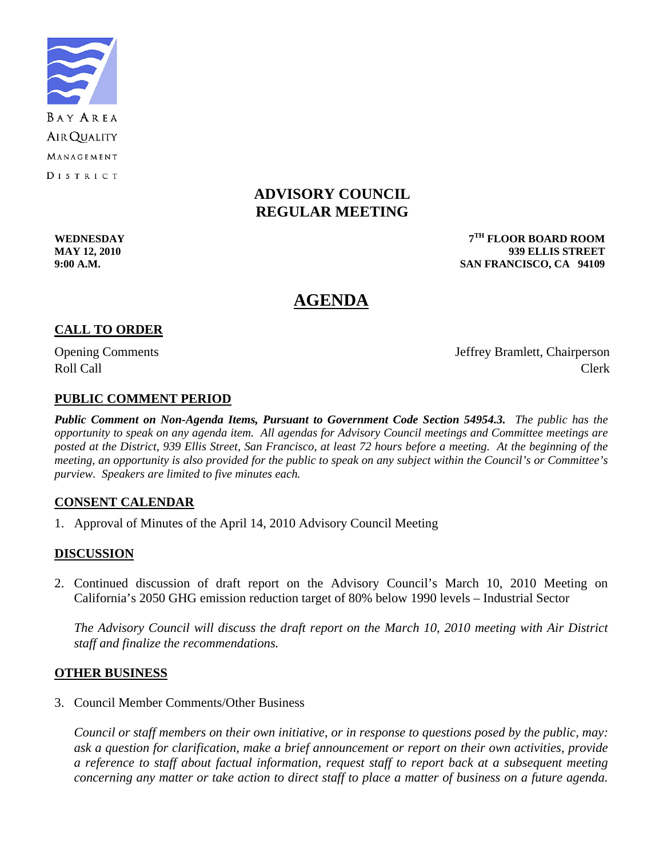

# **ADVISORY COUNCIL REGULAR MEETING**

**WEDNESDAY 7TH FLOOR BOARD ROOM MAY 12, 2010 939 ELLIS STREET 9:00 A.M. SAN FRANCISCO, CA 94109** 

# **AGENDA**

# **CALL TO ORDER**

Opening Comments Jeffrey Bramlett, Chairperson Roll Call Call Contract Clerk

# **PUBLIC COMMENT PERIOD**

*Public Comment on Non-Agenda Items, Pursuant to Government Code Section 54954.3. The public has the opportunity to speak on any agenda item. All agendas for Advisory Council meetings and Committee meetings are posted at the District, 939 Ellis Street, San Francisco, at least 72 hours before a meeting. At the beginning of the meeting, an opportunity is also provided for the public to speak on any subject within the Council's or Committee's purview. Speakers are limited to five minutes each.*

# **CONSENT CALENDAR**

1. Approval of Minutes of the April 14, 2010 Advisory Council Meeting

# **DISCUSSION**

2. Continued discussion of draft report on the Advisory Council's March 10, 2010 Meeting on California's 2050 GHG emission reduction target of 80% below 1990 levels – Industrial Sector

*The Advisory Council will discuss the draft report on the March 10, 2010 meeting with Air District staff and finalize the recommendations.* 

#### **OTHER BUSINESS**

3. Council Member Comments/Other Business

*Council or staff members on their own initiative, or in response to questions posed by the public, may: ask a question for clarification, make a brief announcement or report on their own activities, provide a reference to staff about factual information, request staff to report back at a subsequent meeting concerning any matter or take action to direct staff to place a matter of business on a future agenda.*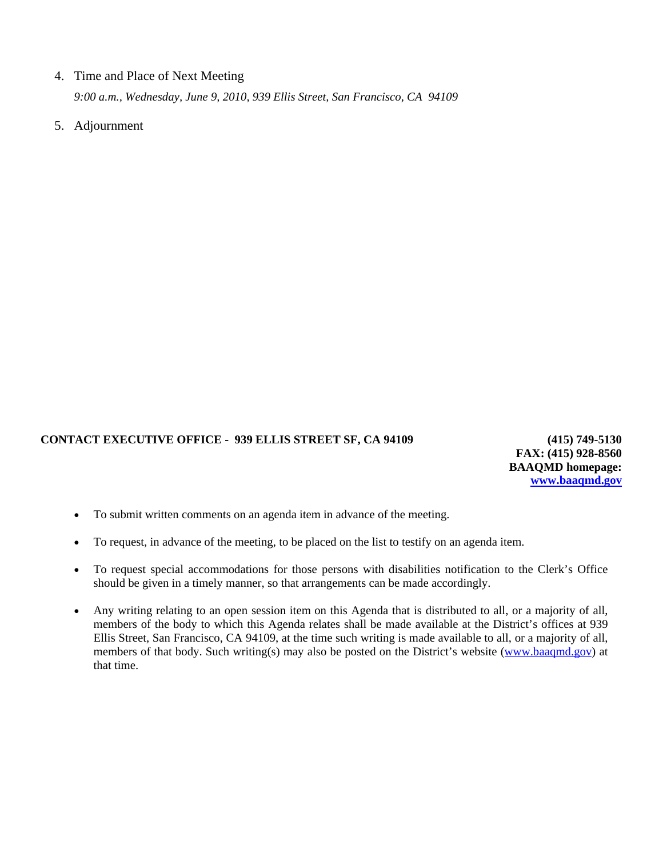#### 4. Time and Place of Next Meeting

 *9:00 a.m., Wednesday, June 9, 2010, 939 Ellis Street, San Francisco, CA 94109* 

5. Adjournment

#### **CONTACT EXECUTIVE OFFICE - 939 ELLIS STREET SF, CA 94109 (415) 749-5130**

**FAX: (415) 928-8560 BAAQMD homepage: [www.baaqmd.gov](http://www.baaqmd.gov/)**

- To submit written comments on an agenda item in advance of the meeting.
- To request, in advance of the meeting, to be placed on the list to testify on an agenda item.
- To request special accommodations for those persons with disabilities notification to the Clerk's Office should be given in a timely manner, so that arrangements can be made accordingly.
- Any writing relating to an open session item on this Agenda that is distributed to all, or a majority of all, members of the body to which this Agenda relates shall be made available at the District's offices at 939 Ellis Street, San Francisco, CA 94109, at the time such writing is made available to all, or a majority of all, members of that body. Such writing(s) may also be posted on the District's website [\(www.baaqmd.gov\)](http://www.baaqmd.gov/) at that time.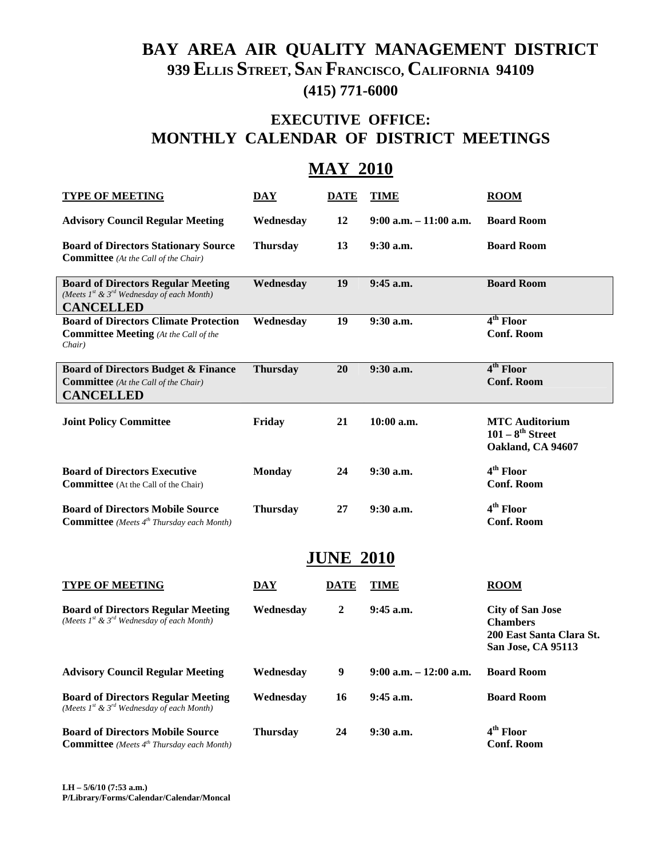# **BAY AREA AIR QUALITY MANAGEMENT DISTRICT 939 ELLIS STREET, SAN FRANCISCO, CALIFORNIA 94109 (415) 771-6000**

# **EXECUTIVE OFFICE: MONTHLY CALENDAR OF DISTRICT MEETINGS**

# **MAY 2010**

| <b>TYPE OF MEETING</b>                                                                                            | <b>DAY</b>      | <b>DATE</b>      | <b>TIME</b>               | <b>ROOM</b>                                                                                  |  |  |
|-------------------------------------------------------------------------------------------------------------------|-----------------|------------------|---------------------------|----------------------------------------------------------------------------------------------|--|--|
| <b>Advisory Council Regular Meeting</b>                                                                           | Wednesday       | 12               | $9:00$ a.m. $-11:00$ a.m. | <b>Board Room</b>                                                                            |  |  |
| <b>Board of Directors Stationary Source</b><br><b>Committee</b> (At the Call of the Chair)                        | <b>Thursday</b> | 13               | $9:30$ a.m.               | <b>Board Room</b>                                                                            |  |  |
| <b>Board of Directors Regular Meeting</b><br>(Meets 1st & 3rd Wednesday of each Month)<br><b>CANCELLED</b>        | Wednesday       | 19               | 9:45 a.m.                 | <b>Board Room</b>                                                                            |  |  |
| <b>Board of Directors Climate Protection</b><br><b>Committee Meeting</b> (At the Call of the<br>Chair)            | Wednesday       | 19               | 9:30 a.m.                 | $4th$ Floor<br><b>Conf. Room</b>                                                             |  |  |
| <b>Board of Directors Budget &amp; Finance</b><br><b>Committee</b> (At the Call of the Chair)<br><b>CANCELLED</b> | <b>Thursday</b> | 20               | 9:30 a.m.                 | $4th$ Floor<br><b>Conf. Room</b>                                                             |  |  |
| <b>Joint Policy Committee</b>                                                                                     | Friday          | 21               | $10:00$ a.m.              | <b>MTC Auditorium</b><br>$101-8^{th}$ Street<br>Oakland, CA 94607                            |  |  |
| <b>Board of Directors Executive</b><br><b>Committee</b> (At the Call of the Chair)                                | <b>Monday</b>   | 24               | $9:30$ a.m.               | 4 <sup>th</sup> Floor<br><b>Conf. Room</b>                                                   |  |  |
| <b>Board of Directors Mobile Source</b><br><b>Committee</b> (Meets 4 <sup>th</sup> Thursday each Month)           | <b>Thursday</b> | 27               | 9:30 a.m.                 | 4 <sup>th</sup> Floor<br><b>Conf. Room</b>                                                   |  |  |
| <b>JUNE 2010</b>                                                                                                  |                 |                  |                           |                                                                                              |  |  |
| <b>TYPE OF MEETING</b>                                                                                            | <b>DAY</b>      | DATE             | TIME                      | <b>ROOM</b>                                                                                  |  |  |
| <b>Board of Directors Regular Meeting</b><br>(Meets $1^{st}$ & $3^{rd}$ Wednesday of each Month)                  | Wednesday       | $\boldsymbol{2}$ | $9:45$ a.m.               | <b>City of San Jose</b><br><b>Chambers</b><br>200 East Santa Clara St.<br>San Jose, CA 95113 |  |  |
| <b>Advisory Council Regular Meeting</b>                                                                           | Wednesday       | 9                | $9:00$ a.m. $-12:00$ a.m. | <b>Board Room</b>                                                                            |  |  |
| <b>Board of Directors Regular Meeting</b><br>(Meets $Ist$ & $3rd$ Wednesday of each Month)                        | Wednesday       | 16               | 9:45 a.m.                 | <b>Board Room</b>                                                                            |  |  |
| <b>Board of Directors Mobile Source</b><br><b>Committee</b> (Meets 4 <sup>th</sup> Thursday each Month)           | <b>Thursday</b> | 24               | 9:30 a.m.                 | 4 <sup>th</sup> Floor<br><b>Conf. Room</b>                                                   |  |  |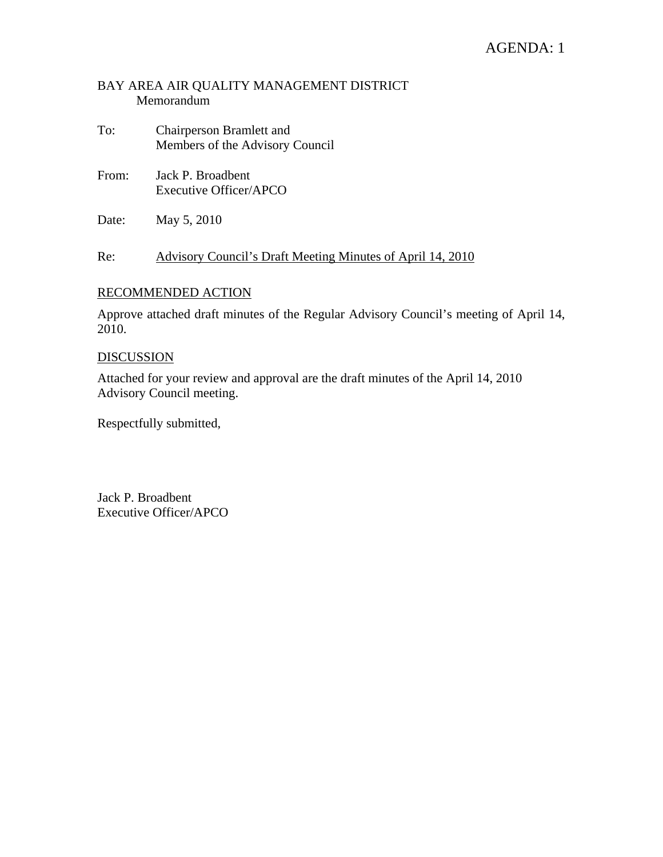# AGENDA: 1

### BAY AREA AIR QUALITY MANAGEMENT DISTRICT Memorandum

- To: Chairperson Bramlett and Members of the Advisory Council
- From: Jack P. Broadbent Executive Officer/APCO
- Date: May 5, 2010

Re: Advisory Council's Draft Meeting Minutes of April 14, 2010

#### RECOMMENDED ACTION

Approve attached draft minutes of the Regular Advisory Council's meeting of April 14, 2010.

#### DISCUSSION

Attached for your review and approval are the draft minutes of the April 14, 2010 Advisory Council meeting.

Respectfully submitted,

Jack P. Broadbent Executive Officer/APCO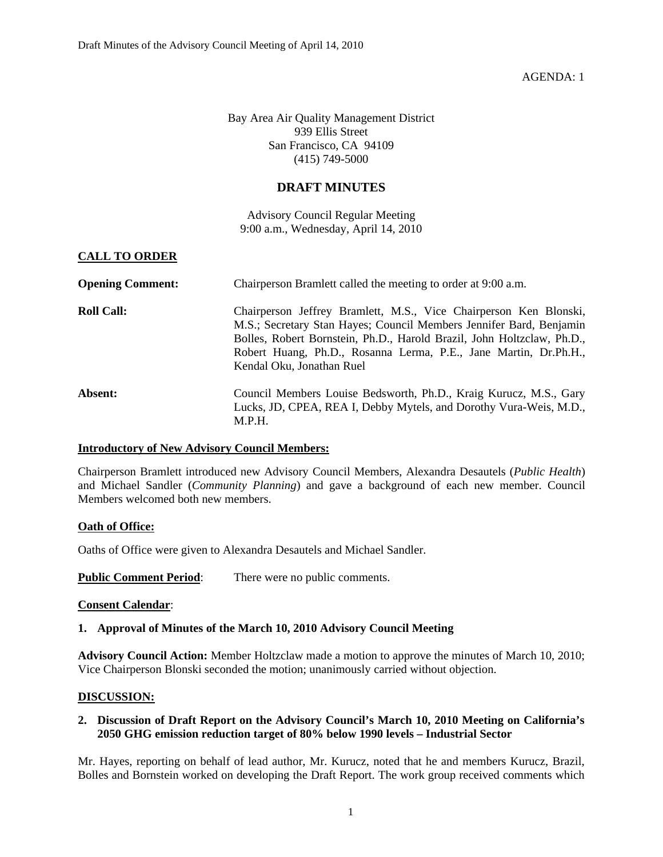AGENDA: 1

Bay Area Air Quality Management District 939 Ellis Street San Francisco, CA 94109 (415) 749-5000

#### **DRAFT MINUTES**

Advisory Council Regular Meeting 9:00 a.m., Wednesday, April 14, 2010

#### **CALL TO ORDER**

| <b>Opening Comment:</b> | Chairperson Bramlett called the meeting to order at 9:00 a.m.                                                                                                                                                                                                                                                       |  |  |  |
|-------------------------|---------------------------------------------------------------------------------------------------------------------------------------------------------------------------------------------------------------------------------------------------------------------------------------------------------------------|--|--|--|
| <b>Roll Call:</b>       | Chairperson Jeffrey Bramlett, M.S., Vice Chairperson Ken Blonski,<br>M.S.; Secretary Stan Hayes; Council Members Jennifer Bard, Benjamin<br>Bolles, Robert Bornstein, Ph.D., Harold Brazil, John Holtzclaw, Ph.D.,<br>Robert Huang, Ph.D., Rosanna Lerma, P.E., Jane Martin, Dr.Ph.H.,<br>Kendal Oku, Jonathan Ruel |  |  |  |
| Absent:                 | Council Members Louise Bedsworth, Ph.D., Kraig Kurucz, M.S., Gary<br>Lucks, JD, CPEA, REA I, Debby Mytels, and Dorothy Vura-Weis, M.D.,<br>M.P.H.                                                                                                                                                                   |  |  |  |

#### **Introductory of New Advisory Council Members:**

Chairperson Bramlett introduced new Advisory Council Members, Alexandra Desautels (*Public Health*) and Michael Sandler (*Community Planning*) and gave a background of each new member. Council Members welcomed both new members.

#### **Oath of Office:**

Oaths of Office were given to Alexandra Desautels and Michael Sandler.

**Public Comment Period:** There were no public comments.

#### **Consent Calendar**:

#### **1. Approval of Minutes of the March 10, 2010 Advisory Council Meeting**

**Advisory Council Action:** Member Holtzclaw made a motion to approve the minutes of March 10, 2010; Vice Chairperson Blonski seconded the motion; unanimously carried without objection.

#### **DISCUSSION:**

#### **2. Discussion of Draft Report on the Advisory Council's March 10, 2010 Meeting on California's 2050 GHG emission reduction target of 80% below 1990 levels – Industrial Sector**

Mr. Hayes, reporting on behalf of lead author, Mr. Kurucz, noted that he and members Kurucz, Brazil, Bolles and Bornstein worked on developing the Draft Report. The work group received comments which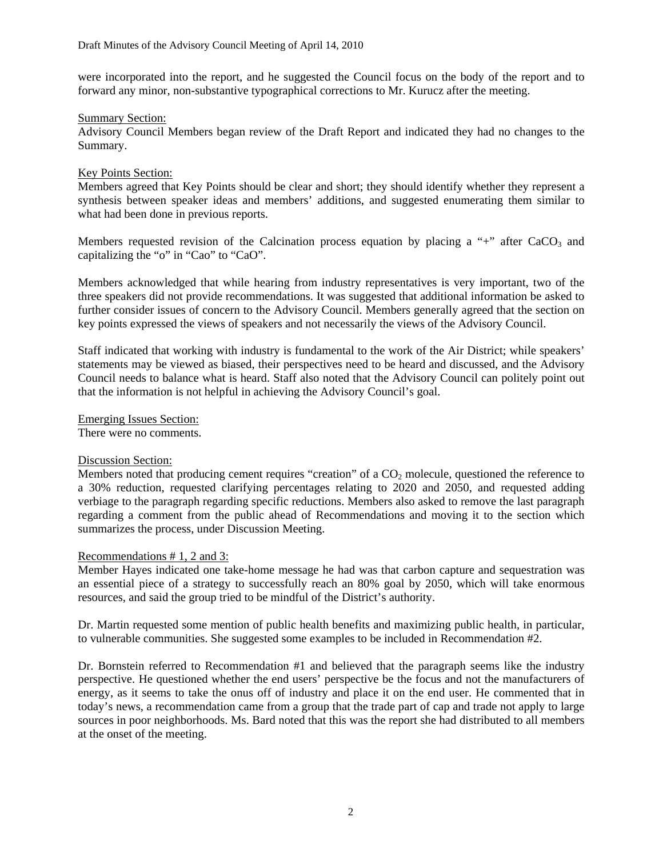were incorporated into the report, and he suggested the Council focus on the body of the report and to forward any minor, non-substantive typographical corrections to Mr. Kurucz after the meeting.

#### Summary Section:

Advisory Council Members began review of the Draft Report and indicated they had no changes to the Summary.

#### Key Points Section:

Members agreed that Key Points should be clear and short; they should identify whether they represent a synthesis between speaker ideas and members' additions, and suggested enumerating them similar to what had been done in previous reports.

Members requested revision of the Calcination process equation by placing a "+" after  $CaCO<sub>3</sub>$  and capitalizing the "o" in "Cao" to "CaO".

Members acknowledged that while hearing from industry representatives is very important, two of the three speakers did not provide recommendations. It was suggested that additional information be asked to further consider issues of concern to the Advisory Council. Members generally agreed that the section on key points expressed the views of speakers and not necessarily the views of the Advisory Council.

Staff indicated that working with industry is fundamental to the work of the Air District; while speakers' statements may be viewed as biased, their perspectives need to be heard and discussed, and the Advisory Council needs to balance what is heard. Staff also noted that the Advisory Council can politely point out that the information is not helpful in achieving the Advisory Council's goal.

Emerging Issues Section:

There were no comments.

#### Discussion Section:

Members noted that producing cement requires "creation" of a  $CO<sub>2</sub>$  molecule, questioned the reference to a 30% reduction, requested clarifying percentages relating to 2020 and 2050, and requested adding verbiage to the paragraph regarding specific reductions. Members also asked to remove the last paragraph regarding a comment from the public ahead of Recommendations and moving it to the section which summarizes the process, under Discussion Meeting.

#### Recommendations # 1, 2 and 3:

Member Hayes indicated one take-home message he had was that carbon capture and sequestration was an essential piece of a strategy to successfully reach an 80% goal by 2050, which will take enormous resources, and said the group tried to be mindful of the District's authority.

Dr. Martin requested some mention of public health benefits and maximizing public health, in particular, to vulnerable communities. She suggested some examples to be included in Recommendation #2.

Dr. Bornstein referred to Recommendation #1 and believed that the paragraph seems like the industry perspective. He questioned whether the end users' perspective be the focus and not the manufacturers of energy, as it seems to take the onus off of industry and place it on the end user. He commented that in today's news, a recommendation came from a group that the trade part of cap and trade not apply to large sources in poor neighborhoods. Ms. Bard noted that this was the report she had distributed to all members at the onset of the meeting.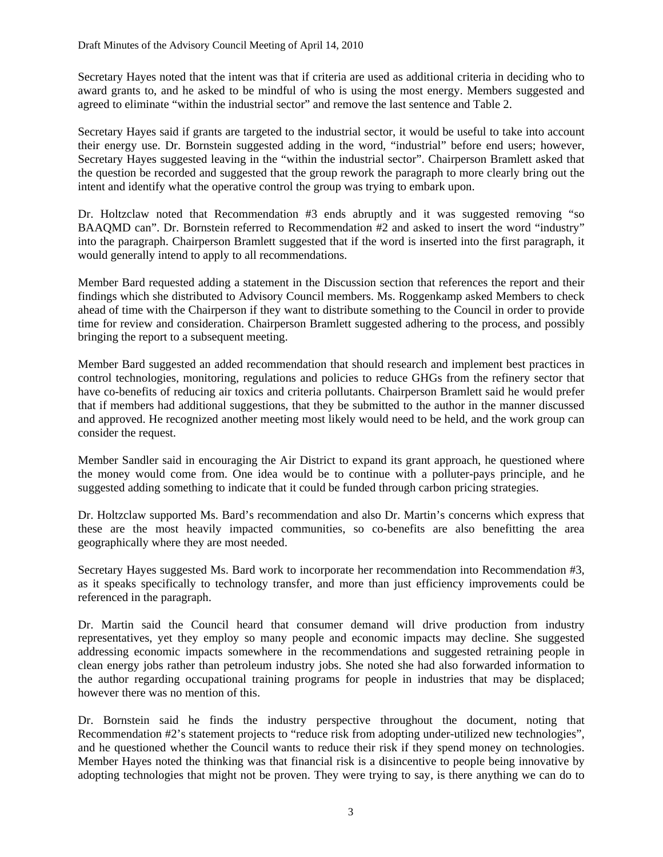Secretary Hayes noted that the intent was that if criteria are used as additional criteria in deciding who to award grants to, and he asked to be mindful of who is using the most energy. Members suggested and agreed to eliminate "within the industrial sector" and remove the last sentence and Table 2.

Secretary Hayes said if grants are targeted to the industrial sector, it would be useful to take into account their energy use. Dr. Bornstein suggested adding in the word, "industrial" before end users; however, Secretary Hayes suggested leaving in the "within the industrial sector". Chairperson Bramlett asked that the question be recorded and suggested that the group rework the paragraph to more clearly bring out the intent and identify what the operative control the group was trying to embark upon.

Dr. Holtzclaw noted that Recommendation #3 ends abruptly and it was suggested removing "so BAAQMD can". Dr. Bornstein referred to Recommendation #2 and asked to insert the word "industry" into the paragraph. Chairperson Bramlett suggested that if the word is inserted into the first paragraph, it would generally intend to apply to all recommendations.

Member Bard requested adding a statement in the Discussion section that references the report and their findings which she distributed to Advisory Council members. Ms. Roggenkamp asked Members to check ahead of time with the Chairperson if they want to distribute something to the Council in order to provide time for review and consideration. Chairperson Bramlett suggested adhering to the process, and possibly bringing the report to a subsequent meeting.

Member Bard suggested an added recommendation that should research and implement best practices in control technologies, monitoring, regulations and policies to reduce GHGs from the refinery sector that have co-benefits of reducing air toxics and criteria pollutants. Chairperson Bramlett said he would prefer that if members had additional suggestions, that they be submitted to the author in the manner discussed and approved. He recognized another meeting most likely would need to be held, and the work group can consider the request.

Member Sandler said in encouraging the Air District to expand its grant approach, he questioned where the money would come from. One idea would be to continue with a polluter-pays principle, and he suggested adding something to indicate that it could be funded through carbon pricing strategies.

Dr. Holtzclaw supported Ms. Bard's recommendation and also Dr. Martin's concerns which express that these are the most heavily impacted communities, so co-benefits are also benefitting the area geographically where they are most needed.

Secretary Hayes suggested Ms. Bard work to incorporate her recommendation into Recommendation #3, as it speaks specifically to technology transfer, and more than just efficiency improvements could be referenced in the paragraph.

Dr. Martin said the Council heard that consumer demand will drive production from industry representatives, yet they employ so many people and economic impacts may decline. She suggested addressing economic impacts somewhere in the recommendations and suggested retraining people in clean energy jobs rather than petroleum industry jobs. She noted she had also forwarded information to the author regarding occupational training programs for people in industries that may be displaced; however there was no mention of this.

Dr. Bornstein said he finds the industry perspective throughout the document, noting that Recommendation #2's statement projects to "reduce risk from adopting under-utilized new technologies", and he questioned whether the Council wants to reduce their risk if they spend money on technologies. Member Hayes noted the thinking was that financial risk is a disincentive to people being innovative by adopting technologies that might not be proven. They were trying to say, is there anything we can do to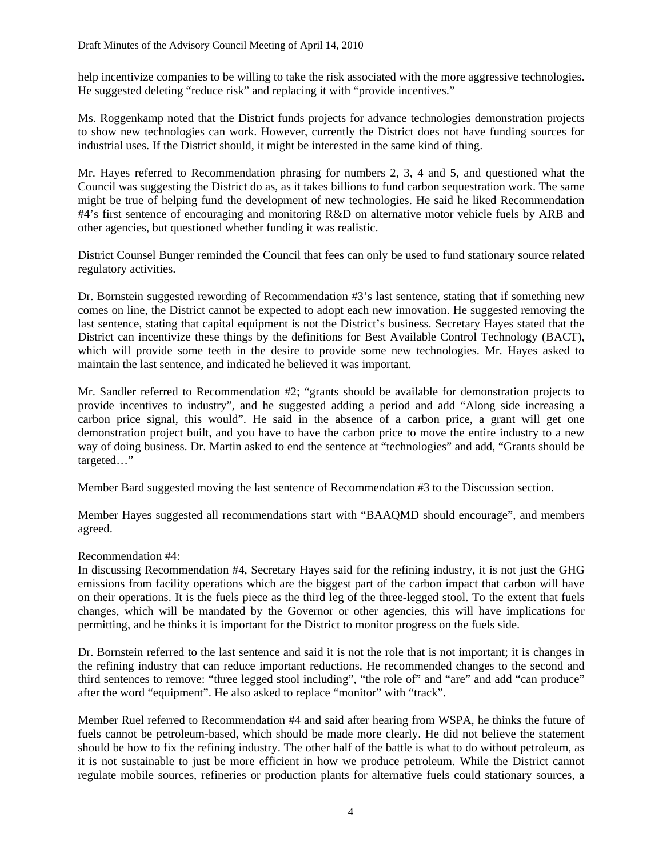help incentivize companies to be willing to take the risk associated with the more aggressive technologies. He suggested deleting "reduce risk" and replacing it with "provide incentives."

Ms. Roggenkamp noted that the District funds projects for advance technologies demonstration projects to show new technologies can work. However, currently the District does not have funding sources for industrial uses. If the District should, it might be interested in the same kind of thing.

Mr. Hayes referred to Recommendation phrasing for numbers 2, 3, 4 and 5, and questioned what the Council was suggesting the District do as, as it takes billions to fund carbon sequestration work. The same might be true of helping fund the development of new technologies. He said he liked Recommendation #4's first sentence of encouraging and monitoring R&D on alternative motor vehicle fuels by ARB and other agencies, but questioned whether funding it was realistic.

District Counsel Bunger reminded the Council that fees can only be used to fund stationary source related regulatory activities.

Dr. Bornstein suggested rewording of Recommendation #3's last sentence, stating that if something new comes on line, the District cannot be expected to adopt each new innovation. He suggested removing the last sentence, stating that capital equipment is not the District's business. Secretary Hayes stated that the District can incentivize these things by the definitions for Best Available Control Technology (BACT), which will provide some teeth in the desire to provide some new technologies. Mr. Hayes asked to maintain the last sentence, and indicated he believed it was important.

Mr. Sandler referred to Recommendation #2; "grants should be available for demonstration projects to provide incentives to industry", and he suggested adding a period and add "Along side increasing a carbon price signal, this would". He said in the absence of a carbon price, a grant will get one demonstration project built, and you have to have the carbon price to move the entire industry to a new way of doing business. Dr. Martin asked to end the sentence at "technologies" and add, "Grants should be targeted…"

Member Bard suggested moving the last sentence of Recommendation #3 to the Discussion section.

Member Hayes suggested all recommendations start with "BAAQMD should encourage", and members agreed.

#### Recommendation #4:

In discussing Recommendation #4, Secretary Hayes said for the refining industry, it is not just the GHG emissions from facility operations which are the biggest part of the carbon impact that carbon will have on their operations. It is the fuels piece as the third leg of the three-legged stool. To the extent that fuels changes, which will be mandated by the Governor or other agencies, this will have implications for permitting, and he thinks it is important for the District to monitor progress on the fuels side.

Dr. Bornstein referred to the last sentence and said it is not the role that is not important; it is changes in the refining industry that can reduce important reductions. He recommended changes to the second and third sentences to remove: "three legged stool including", "the role of" and "are" and add "can produce" after the word "equipment". He also asked to replace "monitor" with "track".

Member Ruel referred to Recommendation #4 and said after hearing from WSPA, he thinks the future of fuels cannot be petroleum-based, which should be made more clearly. He did not believe the statement should be how to fix the refining industry. The other half of the battle is what to do without petroleum, as it is not sustainable to just be more efficient in how we produce petroleum. While the District cannot regulate mobile sources, refineries or production plants for alternative fuels could stationary sources, a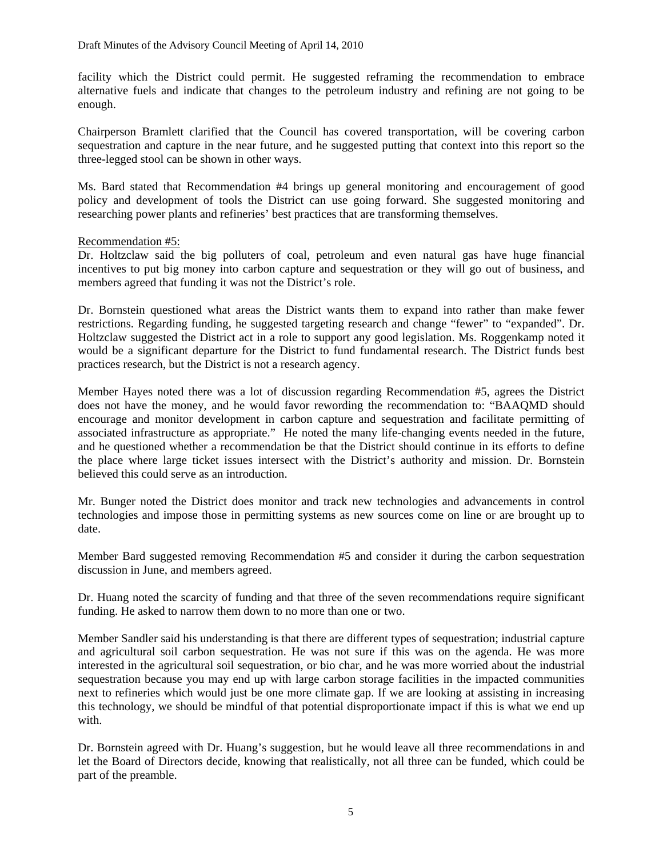facility which the District could permit. He suggested reframing the recommendation to embrace alternative fuels and indicate that changes to the petroleum industry and refining are not going to be enough.

Chairperson Bramlett clarified that the Council has covered transportation, will be covering carbon sequestration and capture in the near future, and he suggested putting that context into this report so the three-legged stool can be shown in other ways.

Ms. Bard stated that Recommendation #4 brings up general monitoring and encouragement of good policy and development of tools the District can use going forward. She suggested monitoring and researching power plants and refineries' best practices that are transforming themselves.

#### Recommendation #5:

Dr. Holtzclaw said the big polluters of coal, petroleum and even natural gas have huge financial incentives to put big money into carbon capture and sequestration or they will go out of business, and members agreed that funding it was not the District's role.

Dr. Bornstein questioned what areas the District wants them to expand into rather than make fewer restrictions. Regarding funding, he suggested targeting research and change "fewer" to "expanded". Dr. Holtzclaw suggested the District act in a role to support any good legislation. Ms. Roggenkamp noted it would be a significant departure for the District to fund fundamental research. The District funds best practices research, but the District is not a research agency.

Member Hayes noted there was a lot of discussion regarding Recommendation #5, agrees the District does not have the money, and he would favor rewording the recommendation to: "BAAQMD should encourage and monitor development in carbon capture and sequestration and facilitate permitting of associated infrastructure as appropriate." He noted the many life-changing events needed in the future, and he questioned whether a recommendation be that the District should continue in its efforts to define the place where large ticket issues intersect with the District's authority and mission. Dr. Bornstein believed this could serve as an introduction.

Mr. Bunger noted the District does monitor and track new technologies and advancements in control technologies and impose those in permitting systems as new sources come on line or are brought up to date.

Member Bard suggested removing Recommendation #5 and consider it during the carbon sequestration discussion in June, and members agreed.

Dr. Huang noted the scarcity of funding and that three of the seven recommendations require significant funding. He asked to narrow them down to no more than one or two.

Member Sandler said his understanding is that there are different types of sequestration; industrial capture and agricultural soil carbon sequestration. He was not sure if this was on the agenda. He was more interested in the agricultural soil sequestration, or bio char, and he was more worried about the industrial sequestration because you may end up with large carbon storage facilities in the impacted communities next to refineries which would just be one more climate gap. If we are looking at assisting in increasing this technology, we should be mindful of that potential disproportionate impact if this is what we end up with.

Dr. Bornstein agreed with Dr. Huang's suggestion, but he would leave all three recommendations in and let the Board of Directors decide, knowing that realistically, not all three can be funded, which could be part of the preamble.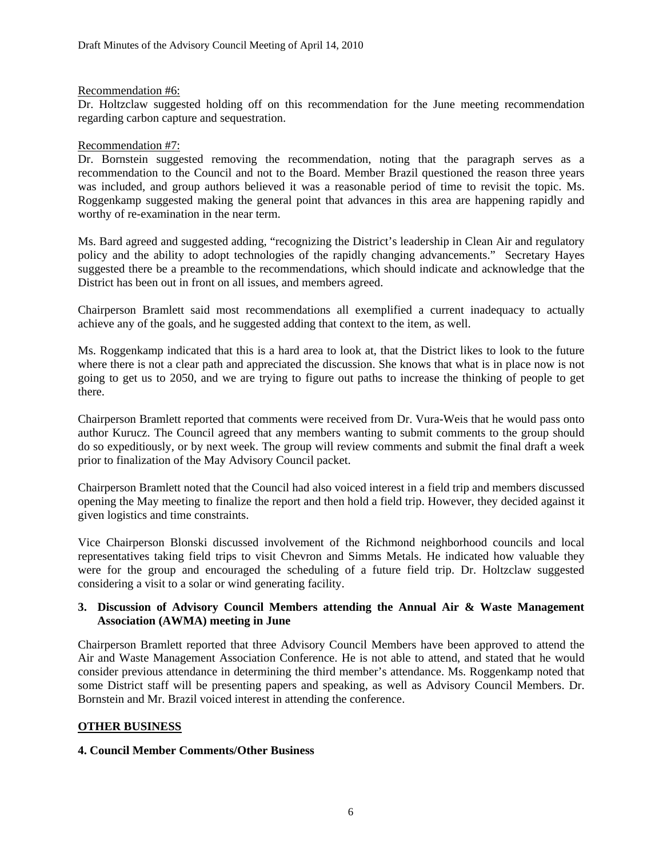#### Recommendation #6:

Dr. Holtzclaw suggested holding off on this recommendation for the June meeting recommendation regarding carbon capture and sequestration.

#### Recommendation #7:

Dr. Bornstein suggested removing the recommendation, noting that the paragraph serves as a recommendation to the Council and not to the Board. Member Brazil questioned the reason three years was included, and group authors believed it was a reasonable period of time to revisit the topic. Ms. Roggenkamp suggested making the general point that advances in this area are happening rapidly and worthy of re-examination in the near term.

Ms. Bard agreed and suggested adding, "recognizing the District's leadership in Clean Air and regulatory policy and the ability to adopt technologies of the rapidly changing advancements." Secretary Hayes suggested there be a preamble to the recommendations, which should indicate and acknowledge that the District has been out in front on all issues, and members agreed.

Chairperson Bramlett said most recommendations all exemplified a current inadequacy to actually achieve any of the goals, and he suggested adding that context to the item, as well.

Ms. Roggenkamp indicated that this is a hard area to look at, that the District likes to look to the future where there is not a clear path and appreciated the discussion. She knows that what is in place now is not going to get us to 2050, and we are trying to figure out paths to increase the thinking of people to get there.

Chairperson Bramlett reported that comments were received from Dr. Vura-Weis that he would pass onto author Kurucz. The Council agreed that any members wanting to submit comments to the group should do so expeditiously, or by next week. The group will review comments and submit the final draft a week prior to finalization of the May Advisory Council packet.

Chairperson Bramlett noted that the Council had also voiced interest in a field trip and members discussed opening the May meeting to finalize the report and then hold a field trip. However, they decided against it given logistics and time constraints.

Vice Chairperson Blonski discussed involvement of the Richmond neighborhood councils and local representatives taking field trips to visit Chevron and Simms Metals. He indicated how valuable they were for the group and encouraged the scheduling of a future field trip. Dr. Holtzclaw suggested considering a visit to a solar or wind generating facility.

#### **3. Discussion of Advisory Council Members attending the Annual Air & Waste Management Association (AWMA) meeting in June**

Chairperson Bramlett reported that three Advisory Council Members have been approved to attend the Air and Waste Management Association Conference. He is not able to attend, and stated that he would consider previous attendance in determining the third member's attendance. Ms. Roggenkamp noted that some District staff will be presenting papers and speaking, as well as Advisory Council Members. Dr. Bornstein and Mr. Brazil voiced interest in attending the conference.

#### **OTHER BUSINESS**

#### **4. Council Member Comments/Other Business**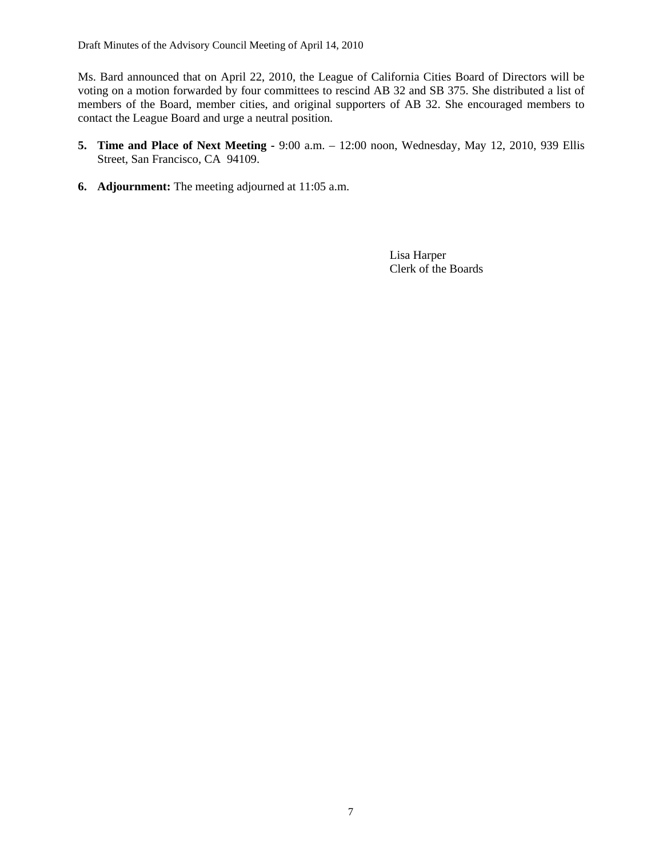Ms. Bard announced that on April 22, 2010, the League of California Cities Board of Directors will be voting on a motion forwarded by four committees to rescind AB 32 and SB 375. She distributed a list of members of the Board, member cities, and original supporters of AB 32. She encouraged members to contact the League Board and urge a neutral position.

- **5. Time and Place of Next Meeting** 9:00 a.m. 12:00 noon, Wednesday, May 12, 2010, 939 Ellis Street, San Francisco, CA 94109.
- **6. Adjournment:** The meeting adjourned at 11:05 a.m.

 Lisa Harper Clerk of the Boards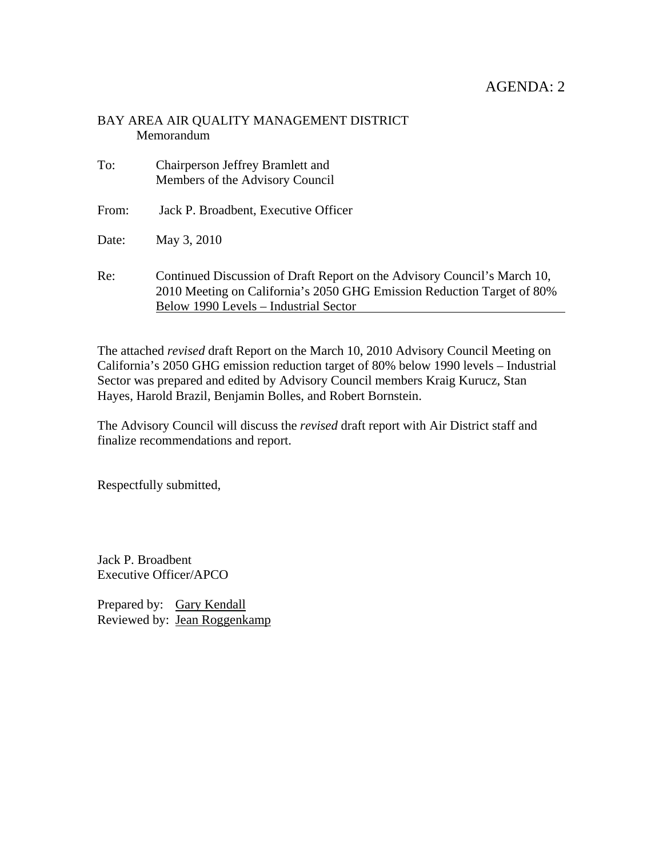#### BAY AREA AIR QUALITY MANAGEMENT DISTRICT Memorandum

| To:   | Chairperson Jeffrey Bramlett and<br>Members of the Advisory Council                                                                                                                         |
|-------|---------------------------------------------------------------------------------------------------------------------------------------------------------------------------------------------|
| From: | Jack P. Broadbent, Executive Officer                                                                                                                                                        |
| Date: | May 3, 2010                                                                                                                                                                                 |
| Re:   | Continued Discussion of Draft Report on the Advisory Council's March 10,<br>2010 Meeting on California's 2050 GHG Emission Reduction Target of 80%<br>Below 1990 Levels – Industrial Sector |

The attached *revised* draft Report on the March 10, 2010 Advisory Council Meeting on California's 2050 GHG emission reduction target of 80% below 1990 levels – Industrial Sector was prepared and edited by Advisory Council members Kraig Kurucz, Stan Hayes, Harold Brazil, Benjamin Bolles, and Robert Bornstein.

The Advisory Council will discuss the *revised* draft report with Air District staff and finalize recommendations and report.

Respectfully submitted,

Jack P. Broadbent Executive Officer/APCO

Prepared by: Gary Kendall Reviewed by: Jean Roggenkamp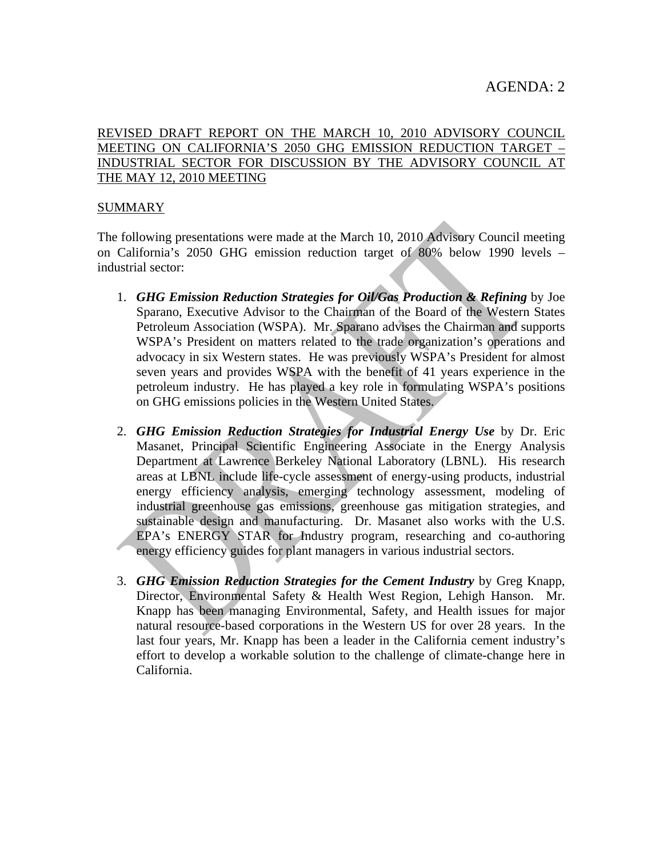# REVISED DRAFT REPORT ON THE MARCH 10, 2010 ADVISORY COUNCIL MEETING ON CALIFORNIA'S 2050 GHG EMISSION REDUCTION TARGET – INDUSTRIAL SECTOR FOR DISCUSSION BY THE ADVISORY COUNCIL AT THE MAY 12, 2010 MEETING

### SUMMARY

The following presentations were made at the March 10, 2010 Advisory Council meeting on California's 2050 GHG emission reduction target of 80% below 1990 levels – industrial sector:

- 1. *GHG Emission Reduction Strategies for Oil/Gas Production & Refining* by Joe Sparano, Executive Advisor to the Chairman of the Board of the Western States Petroleum Association (WSPA). Mr. Sparano advises the Chairman and supports WSPA's President on matters related to the trade organization's operations and advocacy in six Western states. He was previously WSPA's President for almost seven years and provides WSPA with the benefit of 41 years experience in the petroleum industry. He has played a key role in formulating WSPA's positions on GHG emissions policies in the Western United States.
- 2. *GHG Emission Reduction Strategies for Industrial Energy Use* by Dr. Eric Masanet, Principal Scientific Engineering Associate in the Energy Analysis Department at Lawrence Berkeley National Laboratory (LBNL). His research areas at LBNL include life-cycle assessment of energy-using products, industrial energy efficiency analysis, emerging technology assessment, modeling of industrial greenhouse gas emissions, greenhouse gas mitigation strategies, and sustainable design and manufacturing. Dr. Masanet also works with the U.S. EPA's ENERGY STAR for Industry program, researching and co-authoring energy efficiency guides for plant managers in various industrial sectors.
- 3. *GHG Emission Reduction Strategies for the Cement Industry* by Greg Knapp, Director, Environmental Safety & Health West Region, Lehigh Hanson. Mr. Knapp has been managing Environmental, Safety, and Health issues for major natural resource-based corporations in the Western US for over 28 years. In the last four years, Mr. Knapp has been a leader in the California cement industry's effort to develop a workable solution to the challenge of climate-change here in California.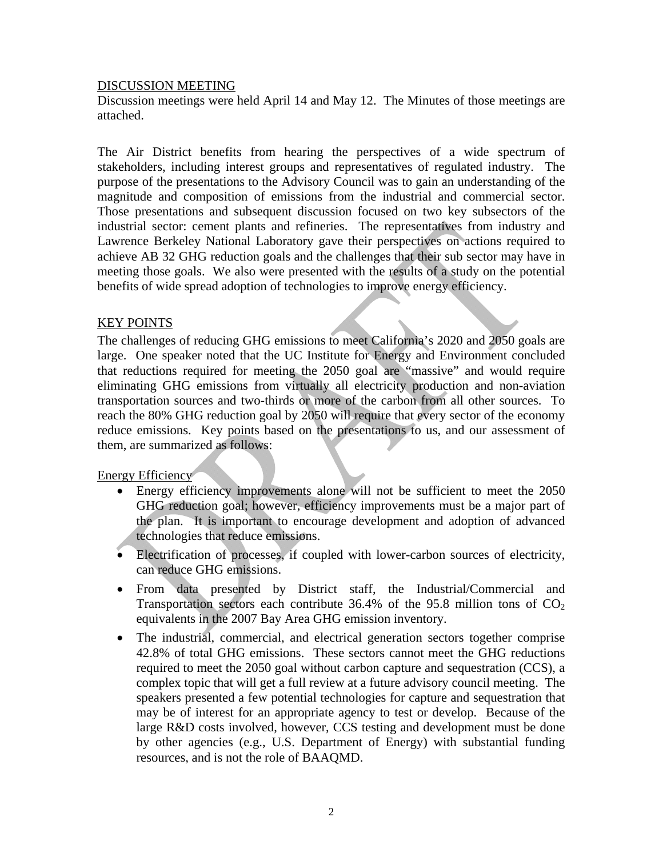#### DISCUSSION MEETING

Discussion meetings were held April 14 and May 12. The Minutes of those meetings are attached.

The Air District benefits from hearing the perspectives of a wide spectrum of stakeholders, including interest groups and representatives of regulated industry. The purpose of the presentations to the Advisory Council was to gain an understanding of the magnitude and composition of emissions from the industrial and commercial sector. Those presentations and subsequent discussion focused on two key subsectors of the industrial sector: cement plants and refineries. The representatives from industry and Lawrence Berkeley National Laboratory gave their perspectives on actions required to achieve AB 32 GHG reduction goals and the challenges that their sub sector may have in meeting those goals. We also were presented with the results of a study on the potential benefits of wide spread adoption of technologies to improve energy efficiency.

#### KEY POINTS

The challenges of reducing GHG emissions to meet California's 2020 and 2050 goals are large. One speaker noted that the UC Institute for Energy and Environment concluded that reductions required for meeting the 2050 goal are "massive" and would require eliminating GHG emissions from virtually all electricity production and non-aviation transportation sources and two-thirds or more of the carbon from all other sources. To reach the 80% GHG reduction goal by 2050 will require that every sector of the economy reduce emissions. Key points based on the presentations to us, and our assessment of them, are summarized as follows:

Energy Efficiency

- Energy efficiency improvements alone will not be sufficient to meet the 2050 GHG reduction goal; however, efficiency improvements must be a major part of the plan. It is important to encourage development and adoption of advanced technologies that reduce emissions.
- Electrification of processes, if coupled with lower-carbon sources of electricity, can reduce GHG emissions.
- From data presented by District staff, the Industrial/Commercial and Transportation sectors each contribute 36.4% of the 95.8 million tons of  $CO<sub>2</sub>$ equivalents in the 2007 Bay Area GHG emission inventory.
- The industrial, commercial, and electrical generation sectors together comprise 42.8% of total GHG emissions. These sectors cannot meet the GHG reductions required to meet the 2050 goal without carbon capture and sequestration (CCS), a complex topic that will get a full review at a future advisory council meeting. The speakers presented a few potential technologies for capture and sequestration that may be of interest for an appropriate agency to test or develop. Because of the large R&D costs involved, however, CCS testing and development must be done by other agencies (e.g., U.S. Department of Energy) with substantial funding resources, and is not the role of BAAQMD.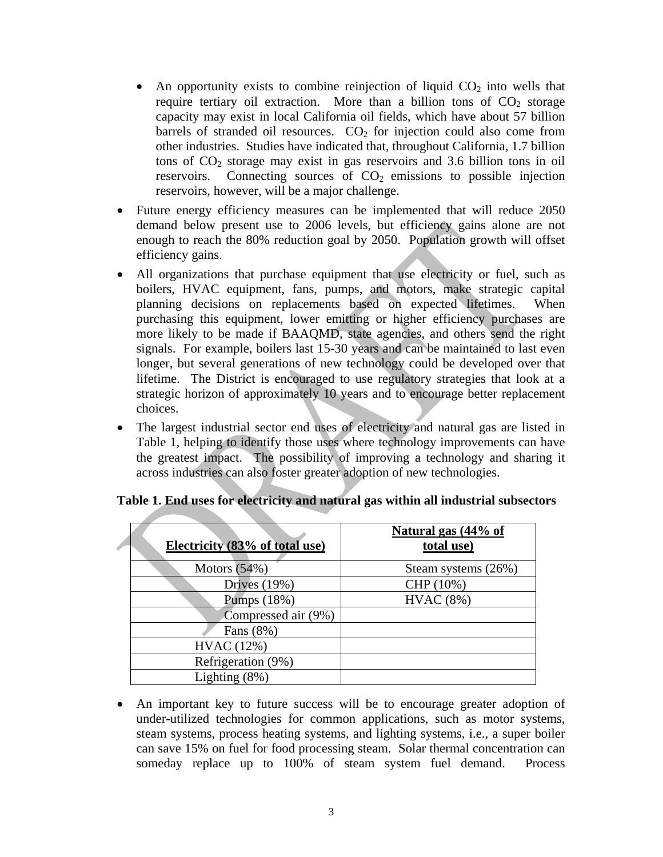- An opportunity exists to combine reinjection of liquid  $CO<sub>2</sub>$  into wells that require tertiary oil extraction. More than a billion tons of  $CO<sub>2</sub>$  storage capacity may exist in local California oil fields, which have about 57 billion barrels of stranded oil resources.  $CO<sub>2</sub>$  for injection could also come from other industries. Studies have indicated that, throughout California, 1.7 billion tons of  $CO<sub>2</sub>$  storage may exist in gas reservoirs and 3.6 billion tons in oil reservoirs. Connecting sources of  $CO<sub>2</sub>$  emissions to possible injection reservoirs, however, will be a major challenge.
- Future energy efficiency measures can be implemented that will reduce 2050 demand below present use to 2006 levels, but efficiency gains alone are not enough to reach the 80% reduction goal by 2050. Population growth will offset efficiency gains.
- All organizations that purchase equipment that use electricity or fuel, such as boilers, HVAC equipment, fans, pumps, and motors, make strategic capital planning decisions on replacements based on expected lifetimes. When purchasing this equipment, lower emitting or higher efficiency purchases are more likely to be made if BAAQMD, state agencies, and others send the right signals. For example, boilers last 15-30 years and can be maintained to last even longer, but several generations of new technology could be developed over that lifetime. The District is encouraged to use regulatory strategies that look at a strategic horizon of approximately 10 years and to encourage better replacement choices.
- The largest industrial sector end uses of electricity and natural gas are listed in Table 1, helping to identify those uses where technology improvements can have the greatest impact. The possibility of improving a technology and sharing it across industries can also foster greater adoption of new technologies.

| Electricity (83% of total use) | Natural gas (44% of<br>total use) |
|--------------------------------|-----------------------------------|
| Motors $(54%)$                 | Steam systems (26%)               |
| Drives $(19%)$                 | CHP (10%)                         |
| Pumps (18%)                    | HVAC(8%)                          |
| Compressed air (9%)            |                                   |
| Fans (8%)                      |                                   |
| HVAC (12%)                     |                                   |
| Refrigeration (9%)             |                                   |
| Lighting $(8\%)$               |                                   |

**Table 1. End uses for electricity and natural gas within all industrial subsectors** 

• An important key to future success will be to encourage greater adoption of under-utilized technologies for common applications, such as motor systems, steam systems, process heating systems, and lighting systems, i.e., a super boiler can save 15% on fuel for food processing steam. Solar thermal concentration can someday replace up to 100% of steam system fuel demand. Process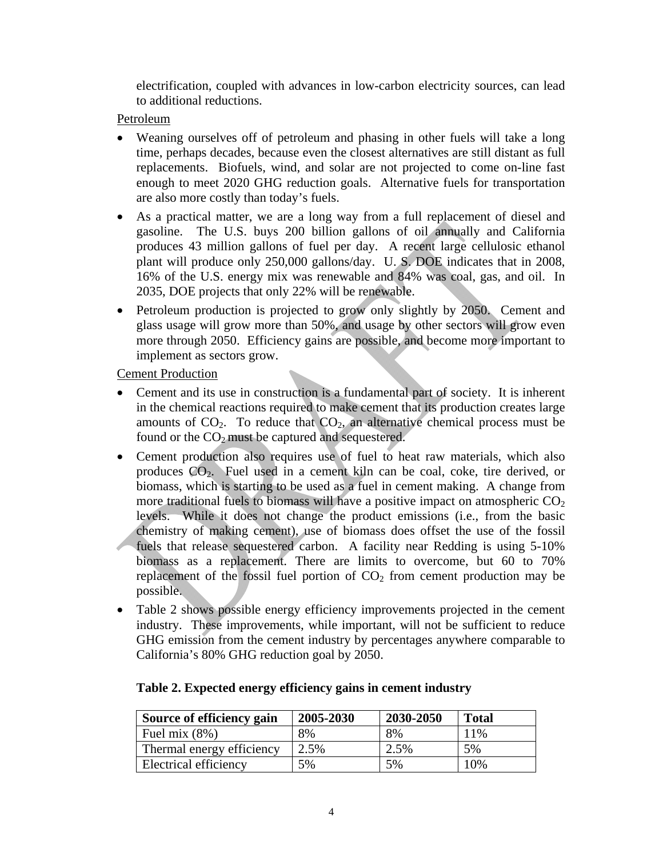electrification, coupled with advances in low-carbon electricity sources, can lead to additional reductions.

Petroleum

- Weaning ourselves off of petroleum and phasing in other fuels will take a long time, perhaps decades, because even the closest alternatives are still distant as full replacements. Biofuels, wind, and solar are not projected to come on-line fast enough to meet 2020 GHG reduction goals. Alternative fuels for transportation are also more costly than today's fuels.
- As a practical matter, we are a long way from a full replacement of diesel and gasoline. The U.S. buys 200 billion gallons of oil annually and California produces 43 million gallons of fuel per day. A recent large cellulosic ethanol plant will produce only 250,000 gallons/day. U. S. DOE indicates that in 2008, 16% of the U.S. energy mix was renewable and 84% was coal, gas, and oil. In 2035, DOE projects that only 22% will be renewable.
- Petroleum production is projected to grow only slightly by 2050. Cement and glass usage will grow more than 50%, and usage by other sectors will grow even more through 2050. Efficiency gains are possible, and become more important to implement as sectors grow.

Cement Production

- Cement and its use in construction is a fundamental part of society. It is inherent in the chemical reactions required to make cement that its production creates large amounts of  $CO<sub>2</sub>$ . To reduce that  $CO<sub>2</sub>$ , an alternative chemical process must be found or the  $CO<sub>2</sub>$  must be captured and sequestered.
- Cement production also requires use of fuel to heat raw materials, which also produces CO2. Fuel used in a cement kiln can be coal, coke, tire derived, or biomass, which is starting to be used as a fuel in cement making. A change from more traditional fuels to biomass will have a positive impact on atmospheric  $CO<sub>2</sub>$ levels. While it does not change the product emissions (i.e., from the basic chemistry of making cement), use of biomass does offset the use of the fossil fuels that release sequestered carbon. A facility near Redding is using 5-10% biomass as a replacement. There are limits to overcome, but 60 to 70% replacement of the fossil fuel portion of  $CO<sub>2</sub>$  from cement production may be possible.
- Table 2 shows possible energy efficiency improvements projected in the cement industry. These improvements, while important, will not be sufficient to reduce GHG emission from the cement industry by percentages anywhere comparable to California's 80% GHG reduction goal by 2050.

| Source of efficiency gain | 2005-2030 | 2030-2050 | <b>Total</b> |
|---------------------------|-----------|-----------|--------------|
| Fuel mix $(8\%)$          | 8%        | 8%        | 11%          |
| Thermal energy efficiency | 2.5%      | 2.5%      | 5%           |
| Electrical efficiency     | 5%        | 5%        | 10%          |

#### **Table 2. Expected energy efficiency gains in cement industry**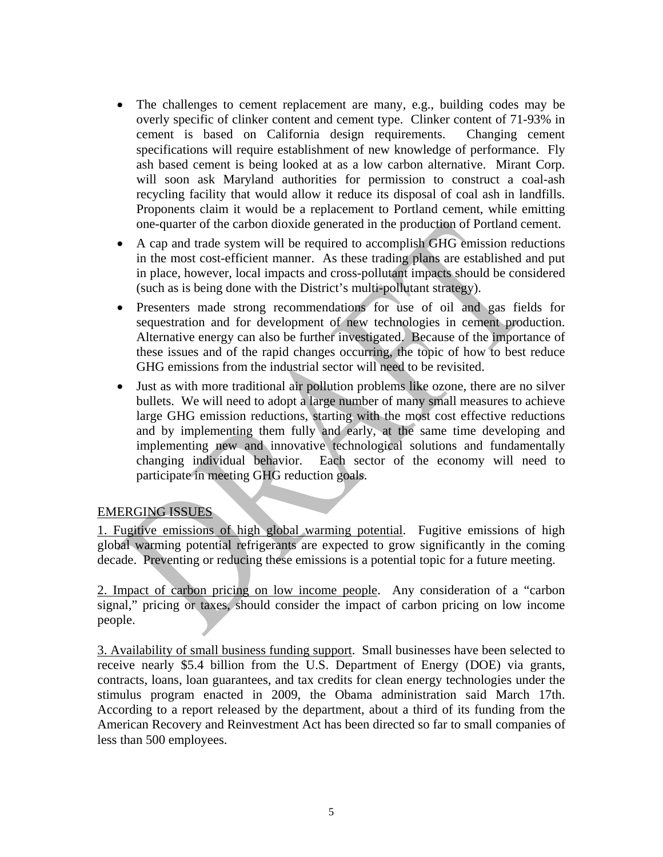- The challenges to cement replacement are many, e.g., building codes may be overly specific of clinker content and cement type. Clinker content of 71-93% in cement is based on California design requirements. Changing cement specifications will require establishment of new knowledge of performance. Fly ash based cement is being looked at as a low carbon alternative. Mirant Corp. will soon ask Maryland authorities for permission to construct a coal-ash recycling facility that would allow it reduce its disposal of coal ash in landfills. Proponents claim it would be a replacement to Portland cement, while emitting one-quarter of the carbon dioxide generated in the production of Portland cement.
- A cap and trade system will be required to accomplish GHG emission reductions in the most cost-efficient manner. As these trading plans are established and put in place, however, local impacts and cross-pollutant impacts should be considered (such as is being done with the District's multi-pollutant strategy).
- Presenters made strong recommendations for use of oil and gas fields for sequestration and for development of new technologies in cement production. Alternative energy can also be further investigated. Because of the importance of these issues and of the rapid changes occurring, the topic of how to best reduce GHG emissions from the industrial sector will need to be revisited.
- Just as with more traditional air pollution problems like ozone, there are no silver bullets. We will need to adopt a large number of many small measures to achieve large GHG emission reductions, starting with the most cost effective reductions and by implementing them fully and early, at the same time developing and implementing new and innovative technological solutions and fundamentally changing individual behavior. Each sector of the economy will need to participate in meeting GHG reduction goals.

# EMERGING ISSUES

1. Fugitive emissions of high global warming potential. Fugitive emissions of high global warming potential refrigerants are expected to grow significantly in the coming decade. Preventing or reducing these emissions is a potential topic for a future meeting.

2. Impact of carbon pricing on low income people. Any consideration of a "carbon signal," pricing or taxes, should consider the impact of carbon pricing on low income people.

3. Availability of small business funding support. Small businesses have been selected to receive nearly \$5.4 billion from the U.S. Department of Energy (DOE) via grants, contracts, loans, loan guarantees, and tax credits for clean energy technologies under the stimulus program enacted in 2009, the Obama administration said March 17th. According to a [report](http://www.energy.gov/recovery/documents/Small_Business_Memo_Mar2010.pdf) released by the department, about a third of its funding from the American Recovery and Reinvestment Act has been directed so far to small companies of less than 500 employees.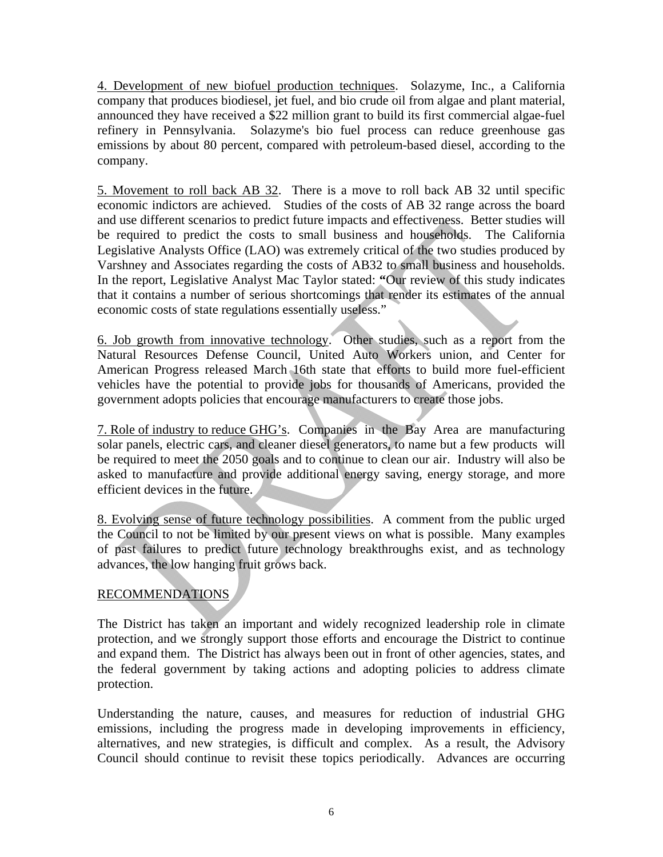4. Development of new biofuel production techniques. Solazyme, Inc., a California company that produces biodiesel, jet fuel, and bio crude oil from algae and plant material, announced they have received a \$22 million grant to build its first commercial algae-fuel refinery in Pennsylvania. Solazyme's bio fuel process can reduce greenhouse gas emissions by about 80 percent, compared with petroleum-based diesel, according to the company.

5. Movement to roll back AB 32. There is a move to roll back AB 32 until specific economic indictors are achieved. Studies of the costs of AB 32 range across the board and use different scenarios to predict future impacts and effectiveness. Better studies will be required to predict the costs to small business and households. The California Legislative Analysts Office (LAO) was extremely critical of the two studies produced by Varshney and Associates regarding the costs of AB32 to small business and households. In the report, Legislative Analyst Mac Taylor stated: **"**Our review of this study indicates that it contains a number of serious shortcomings that render its estimates of the annual economic costs of state regulations essentially useless."

6. Job growth from innovative technology. Other studies, such as a report from the Natural Resources Defense Council, United Auto Workers union, and Center for American Progress released March 16th state that efforts to build more fuel-efficient vehicles have the potential to provide jobs for thousands of Americans, provided the government adopts policies that encourage manufacturers to create those jobs.

7. Role of industry to reduce GHG's. Companies in the Bay Area are manufacturing solar panels, electric cars, and cleaner diesel generators, to name but a few products will be required to meet the 2050 goals and to continue to clean our air. Industry will also be asked to manufacture and provide additional energy saving, energy storage, and more efficient devices in the future.

8. Evolving sense of future technology possibilities. A comment from the public urged the Council to not be limited by our present views on what is possible. Many examples of past failures to predict future technology breakthroughs exist, and as technology advances, the low hanging fruit grows back.

# RECOMMENDATIONS

The District has taken an important and widely recognized leadership role in climate protection, and we strongly support those efforts and encourage the District to continue and expand them. The District has always been out in front of other agencies, states, and the federal government by taking actions and adopting policies to address climate protection.

Understanding the nature, causes, and measures for reduction of industrial GHG emissions, including the progress made in developing improvements in efficiency, alternatives, and new strategies, is difficult and complex. As a result, the Advisory Council should continue to revisit these topics periodically. Advances are occurring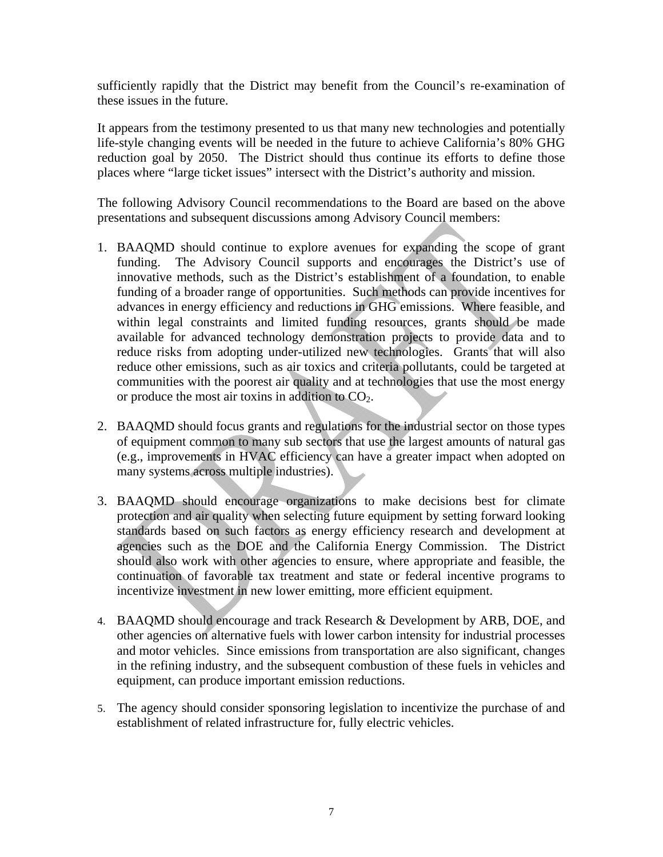sufficiently rapidly that the District may benefit from the Council's re-examination of these issues in the future.

It appears from the testimony presented to us that many new technologies and potentially life-style changing events will be needed in the future to achieve California's 80% GHG reduction goal by 2050. The District should thus continue its efforts to define those places where "large ticket issues" intersect with the District's authority and mission.

The following Advisory Council recommendations to the Board are based on the above presentations and subsequent discussions among Advisory Council members:

- 1. BAAQMD should continue to explore avenues for expanding the scope of grant funding. The Advisory Council supports and encourages the District's use of innovative methods, such as the District's establishment of a foundation, to enable funding of a broader range of opportunities. Such methods can provide incentives for advances in energy efficiency and reductions in GHG emissions. Where feasible, and within legal constraints and limited funding resources, grants should be made available for advanced technology demonstration projects to provide data and to reduce risks from adopting under-utilized new technologies. Grants that will also reduce other emissions, such as air toxics and criteria pollutants, could be targeted at communities with the poorest air quality and at technologies that use the most energy or produce the most air toxins in addition to  $CO<sub>2</sub>$ .
- 2. BAAQMD should focus grants and regulations for the industrial sector on those types of equipment common to many sub sectors that use the largest amounts of natural gas (e.g., improvements in HVAC efficiency can have a greater impact when adopted on many systems across multiple industries).
- 3. BAAQMD should encourage organizations to make decisions best for climate protection and air quality when selecting future equipment by setting forward looking standards based on such factors as energy efficiency research and development at agencies such as the DOE and the California Energy Commission. The District should also work with other agencies to ensure, where appropriate and feasible, the continuation of favorable tax treatment and state or federal incentive programs to incentivize investment in new lower emitting, more efficient equipment.
- 4. BAAQMD should encourage and track Research & Development by ARB, DOE, and other agencies on alternative fuels with lower carbon intensity for industrial processes and motor vehicles. Since emissions from transportation are also significant, changes in the refining industry, and the subsequent combustion of these fuels in vehicles and equipment, can produce important emission reductions.
- 5. The agency should consider sponsoring legislation to incentivize the purchase of and establishment of related infrastructure for, fully electric vehicles.